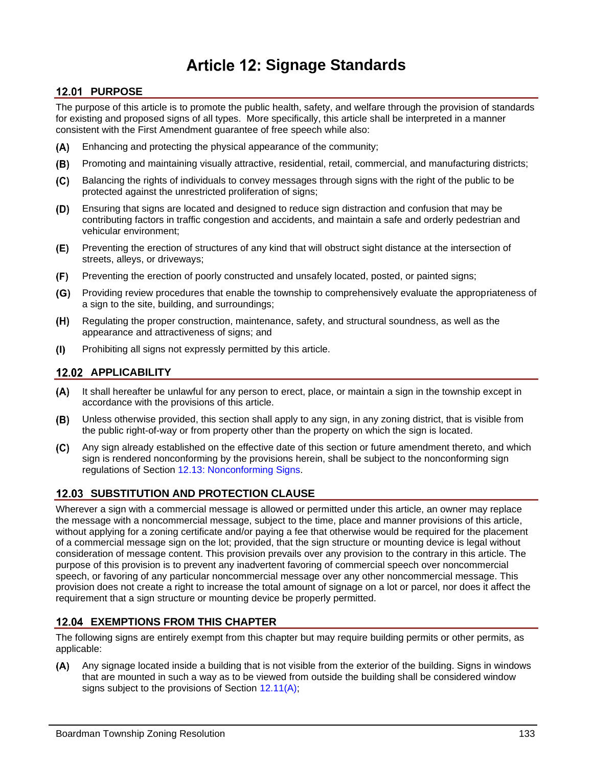# **Signage Standards**

# **12.01 PURPOSE**

The purpose of this article is to promote the public health, safety, and welfare through the provision of standards for existing and proposed signs of all types. More specifically, this article shall be interpreted in a manner consistent with the First Amendment guarantee of free speech while also:

- $(A)$ Enhancing and protecting the physical appearance of the community;
- $(B)$ Promoting and maintaining visually attractive, residential, retail, commercial, and manufacturing districts;
- $(C)$ Balancing the rights of individuals to convey messages through signs with the right of the public to be protected against the unrestricted proliferation of signs;
- Ensuring that signs are located and designed to reduce sign distraction and confusion that may be (D) contributing factors in traffic congestion and accidents, and maintain a safe and orderly pedestrian and vehicular environment;
- (E) Preventing the erection of structures of any kind that will obstruct sight distance at the intersection of streets, alleys, or driveways;
- $(F)$ Preventing the erection of poorly constructed and unsafely located, posted, or painted signs;
- $(G)$ Providing review procedures that enable the township to comprehensively evaluate the appropriateness of a sign to the site, building, and surroundings;
- (H) Regulating the proper construction, maintenance, safety, and structural soundness, as well as the appearance and attractiveness of signs; and
- Prohibiting all signs not expressly permitted by this article.  $(1)$

# **APPLICABILITY**

- It shall hereafter be unlawful for any person to erect, place, or maintain a sign in the township except in (A) accordance with the provisions of this article.
- (B) Unless otherwise provided, this section shall apply to any sign, in any zoning district, that is visible from the public right-of-way or from property other than the property on which the sign is located.
- Any sign already established on the effective date of this section or future amendment thereto, and which  $(C)$ sign is rendered nonconforming by the provisions herein, shall be subject to the nonconforming sign regulations of Section [12.13: Nonconforming Signs.](#page-18-0)

# **12.03 SUBSTITUTION AND PROTECTION CLAUSE**

Wherever a sign with a commercial message is allowed or permitted under this article, an owner may replace the message with a noncommercial message, subject to the time, place and manner provisions of this article, without applying for a zoning certificate and/or paying a fee that otherwise would be required for the placement of a commercial message sign on the lot; provided, that the sign structure or mounting device is legal without consideration of message content. This provision prevails over any provision to the contrary in this article. The purpose of this provision is to prevent any inadvertent favoring of commercial speech over noncommercial speech, or favoring of any particular noncommercial message over any other noncommercial message. This provision does not create a right to increase the total amount of signage on a lot or parcel, nor does it affect the requirement that a sign structure or mounting device be properly permitted.

# **EXEMPTIONS FROM THIS CHAPTER**

The following signs are entirely exempt from this chapter but may require building permits or other permits, as applicable:

Any signage located inside a building that is not visible from the exterior of the building. Signs in windows  $(A)$ that are mounted in such a way as to be viewed from outside the building shall be considered window signs subject to the provisions of Section [12.11\(A\);](#page-10-0)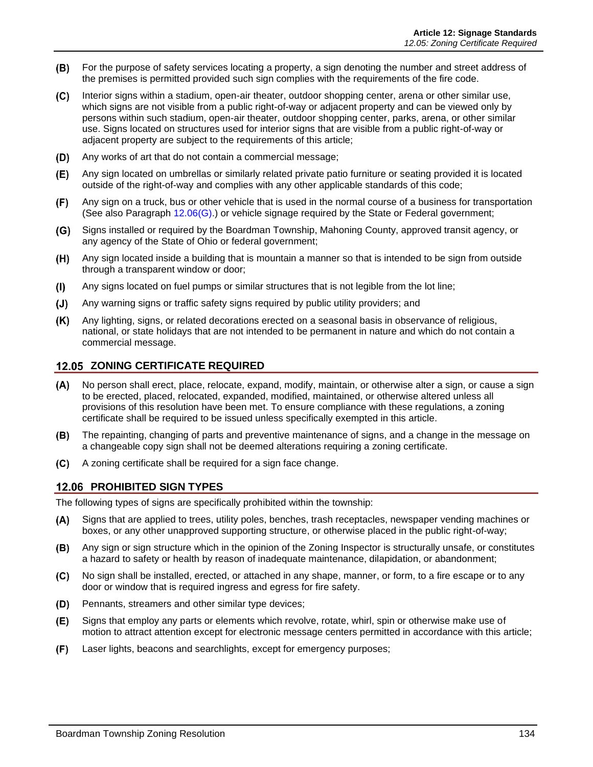- (B) For the purpose of safety services locating a property, a sign denoting the number and street address of the premises is permitted provided such sign complies with the requirements of the fire code.
- Interior signs within a stadium, open-air theater, outdoor shopping center, arena or other similar use,  $(C)$ which signs are not visible from a public right-of-way or adjacent property and can be viewed only by persons within such stadium, open-air theater, outdoor shopping center, parks, arena, or other similar use. Signs located on structures used for interior signs that are visible from a public right-of-way or adjacent property are subject to the requirements of this article;
- $(D)$ Any works of art that do not contain a commercial message;
- $(E)$ Any sign located on umbrellas or similarly related private patio furniture or seating provided it is located outside of the right-of-way and complies with any other applicable standards of this code;
- $(F)$ Any sign on a truck, bus or other vehicle that is used in the normal course of a business for transportation (See also Paragraph [12.06\(G\).](#page-2-0)) or vehicle signage required by the State or Federal government;
- Signs installed or required by the Boardman Township, Mahoning County, approved transit agency, or  $(G)$ any agency of the State of Ohio or federal government;
- Any sign located inside a building that is mountain a manner so that is intended to be sign from outside (H) through a transparent window or door;
- Any signs located on fuel pumps or similar structures that is not legible from the lot line;  $(1)$
- $(J)$ Any warning signs or traffic safety signs required by public utility providers; and
- $(K)$ Any lighting, signs, or related decorations erected on a seasonal basis in observance of religious, national, or state holidays that are not intended to be permanent in nature and which do not contain a commercial message.

#### **12.05 ZONING CERTIFICATE REQUIRED**

- $(A)$ No person shall erect, place, relocate, expand, modify, maintain, or otherwise alter a sign, or cause a sign to be erected, placed, relocated, expanded, modified, maintained, or otherwise altered unless all provisions of this resolution have been met. To ensure compliance with these regulations, a zoning certificate shall be required to be issued unless specifically exempted in this article.
- The repainting, changing of parts and preventive maintenance of signs, and a change in the message on a changeable copy sign shall not be deemed alterations requiring a zoning certificate.
- A zoning certificate shall be required for a sign face change.

#### **PROHIBITED SIGN TYPES**

The following types of signs are specifically prohibited within the township:

- Signs that are applied to trees, utility poles, benches, trash receptacles, newspaper vending machines or  $(A)$ boxes, or any other unapproved supporting structure, or otherwise placed in the public right-of-way;
- Any sign or sign structure which in the opinion of the Zoning Inspector is structurally unsafe, or constitutes (B) a hazard to safety or health by reason of inadequate maintenance, dilapidation, or abandonment;
- No sign shall be installed, erected, or attached in any shape, manner, or form, to a fire escape or to any  $(C)$ door or window that is required ingress and egress for fire safety.
- $(D)$ Pennants, streamers and other similar type devices;
- (E) Signs that employ any parts or elements which revolve, rotate, whirl, spin or otherwise make use of motion to attract attention except for electronic message centers permitted in accordance with this article;
- $(F)$ Laser lights, beacons and searchlights, except for emergency purposes;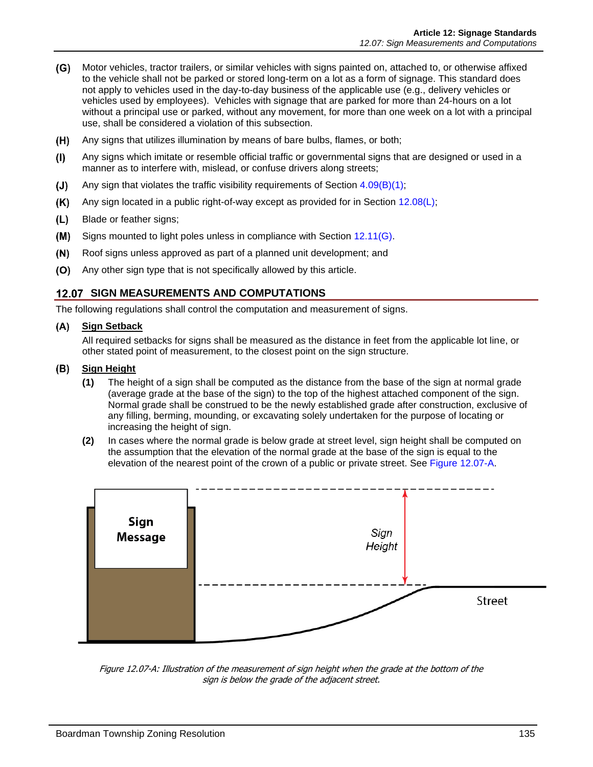- <span id="page-2-0"></span>Motor vehicles, tractor trailers, or similar vehicles with signs painted on, attached to, or otherwise affixed to the vehicle shall not be parked or stored long-term on a lot as a form of signage. This standard does not apply to vehicles used in the day-to-day business of the applicable use (e.g., delivery vehicles or vehicles used by employees). Vehicles with signage that are parked for more than 24-hours on a lot without a principal use or parked, without any movement, for more than one week on a lot with a principal use, shall be considered a violation of this subsection.
- $(H)$ Any signs that utilizes illumination by means of bare bulbs, flames, or both;
- Any signs which imitate or resemble official traffic or governmental signs that are designed or used in a  $(1)$ manner as to interfere with, mislead, or confuse drivers along streets;
- $(J)$ Any sign that violates the traffic visibility requirements of Section  $4.09(B)(1)$ ;
- $(K)$ Any sign located in a public right-of-way except as provided for in Section [12.08\(L\);](#page-8-0)
- $(L)$ Blade or feather signs;
- $(M)$ Signs mounted to light poles unless in compliance with Section [12.11\(G\).](#page-15-0)
- $(N)$ Roof signs unless approved as part of a planned unit development; and
- (O) Any other sign type that is not specifically allowed by this article.

### **12.07 SIGN MEASUREMENTS AND COMPUTATIONS**

The following regulations shall control the computation and measurement of signs.

#### **Sign Setback**

All required setbacks for signs shall be measured as the distance in feet from the applicable lot line, or other stated point of measurement, to the closest point on the sign structure.

#### **Sign Height**

- **(1)** The height of a sign shall be computed as the distance from the base of the sign at normal grade (average grade at the base of the sign) to the top of the highest attached component of the sign. Normal grade shall be construed to be the newly established grade after construction, exclusive of any filling, berming, mounding, or excavating solely undertaken for the purpose of locating or increasing the height of sign.
- **(2)** In cases where the normal grade is below grade at street level, sign height shall be computed on the assumption that the elevation of the normal grade at the base of the sign is equal to the elevation of the nearest point of the crown of a public or private street. See [Figure 12.07-A.](#page-2-1)



<span id="page-2-1"></span>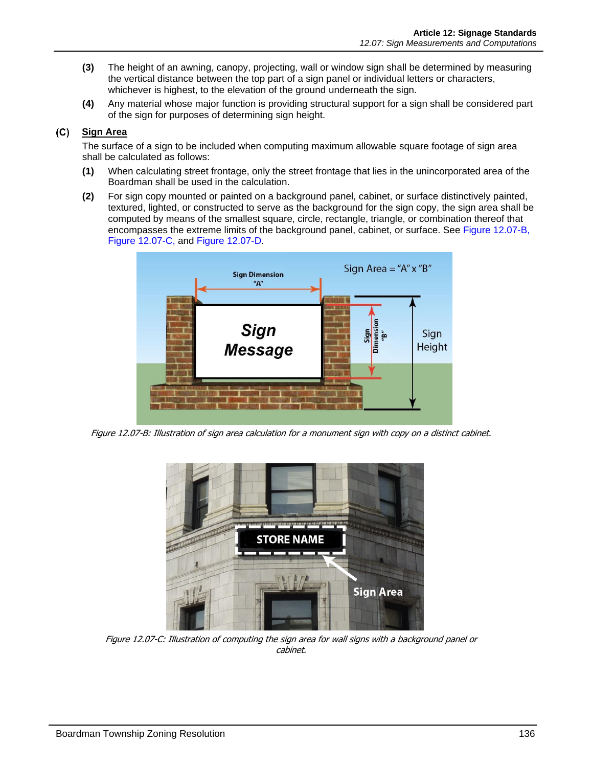- **(3)** The height of an awning, canopy, projecting, wall or window sign shall be determined by measuring the vertical distance between the top part of a sign panel or individual letters or characters, whichever is highest, to the elevation of the ground underneath the sign.
- **(4)** Any material whose major function is providing structural support for a sign shall be considered part of the sign for purposes of determining sign height.

### **Sign Area**

The surface of a sign to be included when computing maximum allowable square footage of sign area shall be calculated as follows:

- **(1)** When calculating street frontage, only the street frontage that lies in the unincorporated area of the Boardman shall be used in the calculation.
- **(2)** For sign copy mounted or painted on a background panel, cabinet, or surface distinctively painted, textured, lighted, or constructed to serve as the background for the sign copy, the sign area shall be computed by means of the smallest square, circle, rectangle, triangle, or combination thereof that encompasses the extreme limits of the background panel, cabinet, or surface. See [Figure 12.07-B,](#page-3-0) [Figure 12.07-C,](#page-3-1) and [Figure 12.07-D.](#page-4-0)



<span id="page-3-0"></span>Figure 12.07-B: Illustration of sign area calculation for a monument sign with copy on a distinct cabinet.

<span id="page-3-1"></span>

Figure 12.07-C: Illustration of computing the sign area for wall signs with a background panel or cabinet.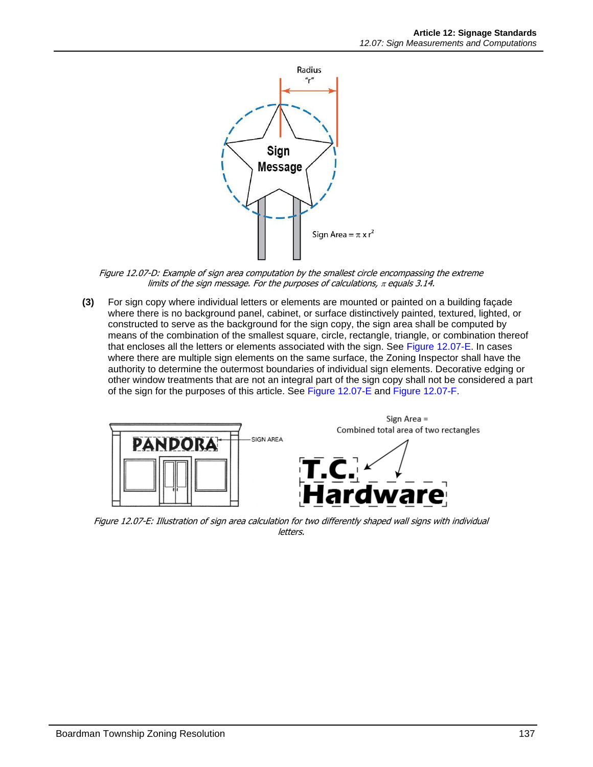

Figure 12.07-D: Example of sign area computation by the smallest circle encompassing the extreme limits of the sign message. For the purposes of calculations,  $\pi$  equals 3.14.

<span id="page-4-0"></span>**(3)** For sign copy where individual letters or elements are mounted or painted on a building façade where there is no background panel, cabinet, or surface distinctively painted, textured, lighted, or constructed to serve as the background for the sign copy, the sign area shall be computed by means of the combination of the smallest square, circle, rectangle, triangle, or combination thereof that encloses all the letters or elements associated with the sign. See [Figure 12.07-E.](#page-4-1) In cases where there are multiple sign elements on the same surface, the Zoning Inspector shall have the authority to determine the outermost boundaries of individual sign elements. Decorative edging or other window treatments that are not an integral part of the sign copy shall not be considered a part of the sign for the purposes of this article. See [Figure 12.07-E](#page-4-1) and [Figure 12.07-F.](#page-5-0)



<span id="page-4-1"></span>Figure 12.07-E: Illustration of sign area calculation for two differently shaped wall signs with individual letters.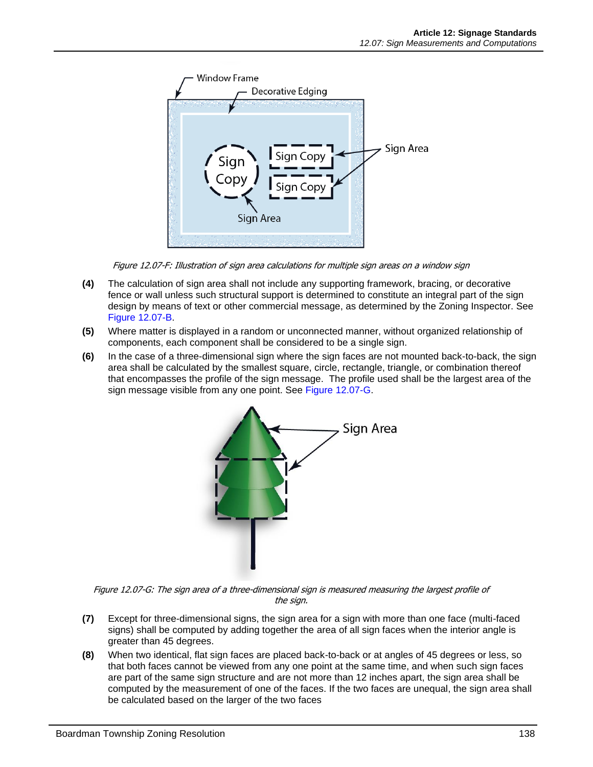

Figure 12.07-F: Illustration of sign area calculations for multiple sign areas on a window sign

- <span id="page-5-0"></span>**(4)** The calculation of sign area shall not include any supporting framework, bracing, or decorative fence or wall unless such structural support is determined to constitute an integral part of the sign design by means of text or other commercial message, as determined by the Zoning Inspector. See [Figure 12.07-B.](#page-3-0)
- **(5)** Where matter is displayed in a random or unconnected manner, without organized relationship of components, each component shall be considered to be a single sign.
- **(6)** In the case of a three-dimensional sign where the sign faces are not mounted back-to-back, the sign area shall be calculated by the smallest square, circle, rectangle, triangle, or combination thereof that encompasses the profile of the sign message. The profile used shall be the largest area of the sign message visible from any one point. See [Figure 12.07-G.](#page-5-1)



<span id="page-5-1"></span>Figure 12.07-G: The sign area of a three-dimensional sign is measured measuring the largest profile of the sign.

- **(7)** Except for three-dimensional signs, the sign area for a sign with more than one face (multi-faced signs) shall be computed by adding together the area of all sign faces when the interior angle is greater than 45 degrees.
- **(8)** When two identical, flat sign faces are placed back-to-back or at angles of 45 degrees or less, so that both faces cannot be viewed from any one point at the same time, and when such sign faces are part of the same sign structure and are not more than 12 inches apart, the sign area shall be computed by the measurement of one of the faces. If the two faces are unequal, the sign area shall be calculated based on the larger of the two faces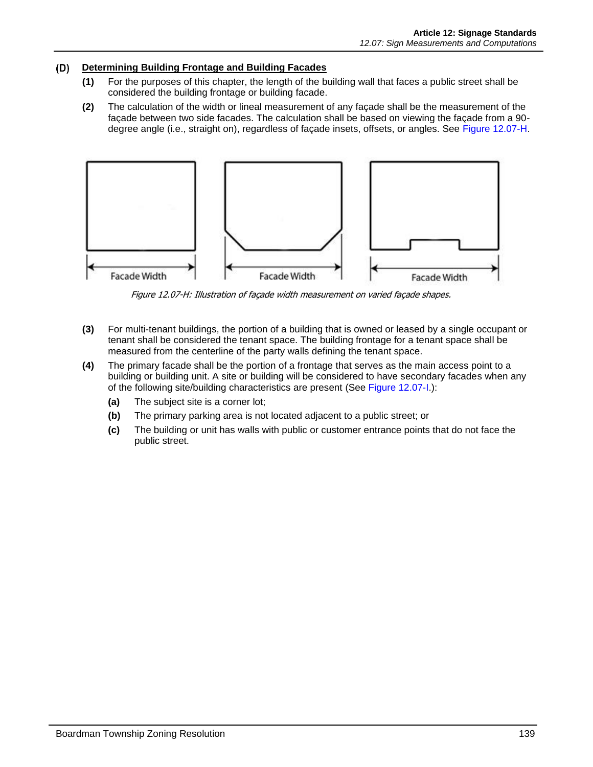#### **Determining Building Frontage and Building Facades**

- **(1)** For the purposes of this chapter, the length of the building wall that faces a public street shall be considered the building frontage or building facade.
- **(2)** The calculation of the width or lineal measurement of any façade shall be the measurement of the façade between two side facades. The calculation shall be based on viewing the façade from a 90 degree angle (i.e., straight on), regardless of façade insets, offsets, or angles. See [Figure 12.07-H.](#page-6-0)



Figure 12.07-H: Illustration of façade width measurement on varied façade shapes.

- <span id="page-6-0"></span>**(3)** For multi-tenant buildings, the portion of a building that is owned or leased by a single occupant or tenant shall be considered the tenant space. The building frontage for a tenant space shall be measured from the centerline of the party walls defining the tenant space.
- **(4)** The primary facade shall be the portion of a frontage that serves as the main access point to a building or building unit. A site or building will be considered to have secondary facades when any of the following site/building characteristics are present (See [Figure 12.07-I.](#page-7-0)):
	- **(a)** The subject site is a corner lot;
	- **(b)** The primary parking area is not located adjacent to a public street; or
	- **(c)** The building or unit has walls with public or customer entrance points that do not face the public street.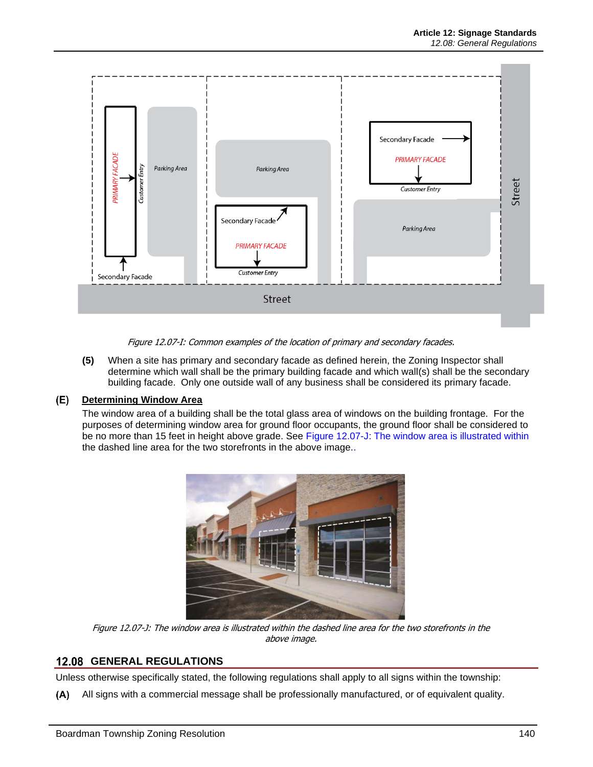

Figure 12.07-I: Common examples of the location of primary and secondary facades.

<span id="page-7-0"></span>**(5)** When a site has primary and secondary facade as defined herein, the Zoning Inspector shall determine which wall shall be the primary building facade and which wall(s) shall be the secondary building facade. Only one outside wall of any business shall be considered its primary facade.

#### <span id="page-7-2"></span> $(E)$ **Determining Window Area**

The window area of a building shall be the total glass area of windows on the building frontage. For the purposes of determining window area for ground floor occupants, the ground floor shall be considered to be no more than 15 feet in height above grade. See Figure [12.07-J: The window area](#page-7-1) is illustrated within [the dashed line area for the two storefronts in the above image..](#page-7-1)



Figure 12.07-J: The window area is illustrated within the dashed line area for the two storefronts in the above image.

# <span id="page-7-1"></span>**12.08 GENERAL REGULATIONS**

Unless otherwise specifically stated, the following regulations shall apply to all signs within the township:

All signs with a commercial message shall be professionally manufactured, or of equivalent quality.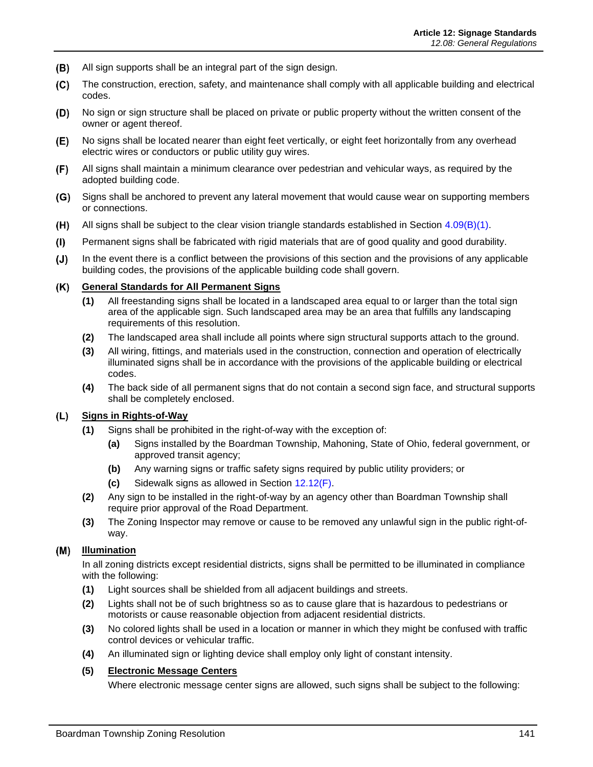- (B) All sign supports shall be an integral part of the sign design.
- $(C)$ The construction, erection, safety, and maintenance shall comply with all applicable building and electrical codes.
- $(D)$ No sign or sign structure shall be placed on private or public property without the written consent of the owner or agent thereof.
- $(E)$ No signs shall be located nearer than eight feet vertically, or eight feet horizontally from any overhead electric wires or conductors or public utility guy wires.
- $(F)$ All signs shall maintain a minimum clearance over pedestrian and vehicular ways, as required by the adopted building code.
- (G) Signs shall be anchored to prevent any lateral movement that would cause wear on supporting members or connections.
- All signs shall be subject to the clear vision triangle standards established in Section 4.09(B)(1).  $(H)$
- $(1)$ Permanent signs shall be fabricated with rigid materials that are of good quality and good durability.
- In the event there is a conflict between the provisions of this section and the provisions of any applicable  $(J)$ building codes, the provisions of the applicable building code shall govern.

#### $(K)$ **General Standards for All Permanent Signs**

- **(1)** All freestanding signs shall be located in a landscaped area equal to or larger than the total sign area of the applicable sign. Such landscaped area may be an area that fulfills any landscaping requirements of this resolution.
- **(2)** The landscaped area shall include all points where sign structural supports attach to the ground.
- **(3)** All wiring, fittings, and materials used in the construction, connection and operation of electrically illuminated signs shall be in accordance with the provisions of the applicable building or electrical codes.
- **(4)** The back side of all permanent signs that do not contain a second sign face, and structural supports shall be completely enclosed.

#### <span id="page-8-0"></span>**Signs in Rights-of-Way** (L)

- **(1)** Signs shall be prohibited in the right-of-way with the exception of:
	- **(a)** Signs installed by the Boardman Township, Mahoning, State of Ohio, federal government, or approved transit agency;
	- **(b)** Any warning signs or traffic safety signs required by public utility providers; or
	- **(c)** Sidewalk signs as allowed in Section [12.12\(F\).](#page-17-0)
- **(2)** Any sign to be installed in the right-of-way by an agency other than Boardman Township shall require prior approval of the Road Department.
- **(3)** The Zoning Inspector may remove or cause to be removed any unlawful sign in the public right-ofway.

#### $(M)$ **Illumination**

In all zoning districts except residential districts, signs shall be permitted to be illuminated in compliance with the following:

- **(1)** Light sources shall be shielded from all adjacent buildings and streets.
- **(2)** Lights shall not be of such brightness so as to cause glare that is hazardous to pedestrians or motorists or cause reasonable objection from adjacent residential districts.
- **(3)** No colored lights shall be used in a location or manner in which they might be confused with traffic control devices or vehicular traffic.
- **(4)** An illuminated sign or lighting device shall employ only light of constant intensity.

#### <span id="page-8-1"></span>**(5) Electronic Message Centers**

Where electronic message center signs are allowed, such signs shall be subject to the following: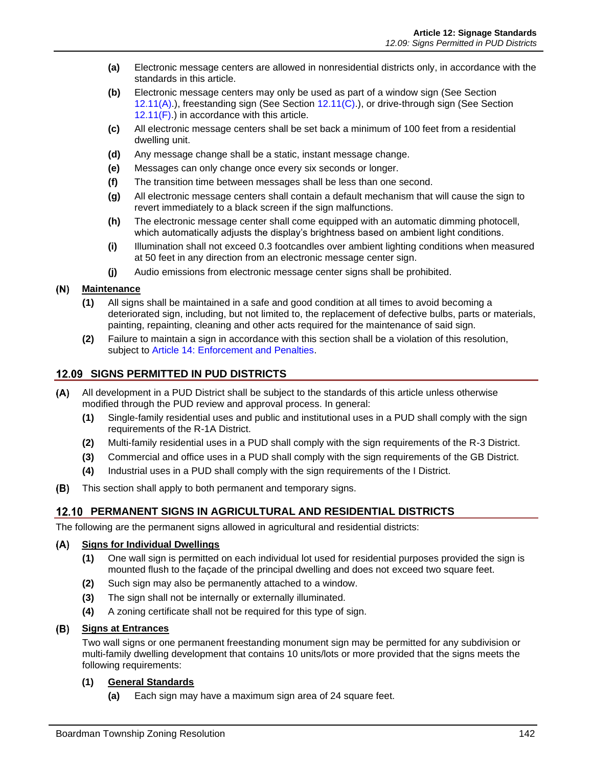- **(a)** Electronic message centers are allowed in nonresidential districts only, in accordance with the standards in this article.
- **(b)** Electronic message centers may only be used as part of a window sign (See Section [12.11\(A\).](#page-10-0)), freestanding sign (See Section [12.11\(C\).](#page-13-0)), or drive-through sign (See Section  $12.11(F)$ .) in accordance with this article.
- **(c)** All electronic message centers shall be set back a minimum of 100 feet from a residential dwelling unit.
- **(d)** Any message change shall be a static, instant message change.
- **(e)** Messages can only change once every six seconds or longer.
- **(f)** The transition time between messages shall be less than one second.
- **(g)** All electronic message centers shall contain a default mechanism that will cause the sign to revert immediately to a black screen if the sign malfunctions.
- **(h)** The electronic message center shall come equipped with an automatic dimming photocell, which automatically adjusts the display's brightness based on ambient light conditions.
- **(i)** Illumination shall not exceed 0.3 footcandles over ambient lighting conditions when measured at 50 feet in any direction from an electronic message center sign.
- **(j)** Audio emissions from electronic message center signs shall be prohibited.

#### $(N)$ **Maintenance**

- **(1)** All signs shall be maintained in a safe and good condition at all times to avoid becoming a deteriorated sign, including, but not limited to, the replacement of defective bulbs, parts or materials, painting, repainting, cleaning and other acts required for the maintenance of said sign.
- **(2)** Failure to maintain a sign in accordance with this section shall be a violation of this resolution, subject to Article 14: Enforcement and Penalties.

### **SIGNS PERMITTED IN PUD DISTRICTS**

- $(A)$ All development in a PUD District shall be subject to the standards of this article unless otherwise modified through the PUD review and approval process. In general:
	- **(1)** Single-family residential uses and public and institutional uses in a PUD shall comply with the sign requirements of the R-1A District.
	- **(2)** Multi-family residential uses in a PUD shall comply with the sign requirements of the R-3 District.
	- **(3)** Commercial and office uses in a PUD shall comply with the sign requirements of the GB District.
	- **(4)** Industrial uses in a PUD shall comply with the sign requirements of the I District.
- (B) This section shall apply to both permanent and temporary signs.

### **PERMANENT SIGNS IN AGRICULTURAL AND RESIDENTIAL DISTRICTS**

The following are the permanent signs allowed in agricultural and residential districts:

#### <span id="page-9-0"></span> $(A)$ **Signs for Individual Dwellings**

- **(1)** One wall sign is permitted on each individual lot used for residential purposes provided the sign is mounted flush to the façade of the principal dwelling and does not exceed two square feet.
- **(2)** Such sign may also be permanently attached to a window.
- **(3)** The sign shall not be internally or externally illuminated.
- **(4)** A zoning certificate shall not be required for this type of sign.

#### **Signs at Entrances**

Two wall signs or one permanent freestanding monument sign may be permitted for any subdivision or multi-family dwelling development that contains 10 units/lots or more provided that the signs meets the following requirements:

#### **(1) General Standards**

**(a)** Each sign may have a maximum sign area of 24 square feet.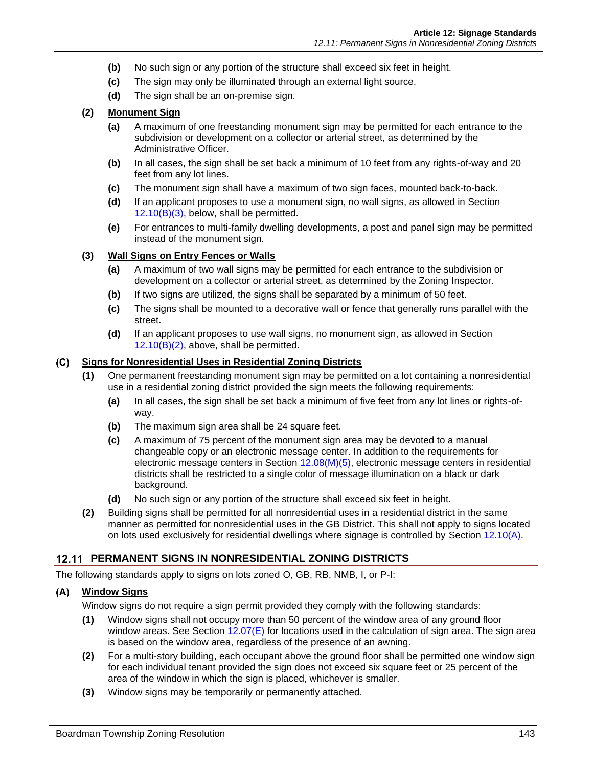- **(b)** No such sign or any portion of the structure shall exceed six feet in height.
- **(c)** The sign may only be illuminated through an external light source.
- **(d)** The sign shall be an on-premise sign.

#### <span id="page-10-2"></span>**(2) Monument Sign**

- **(a)** A maximum of one freestanding monument sign may be permitted for each entrance to the subdivision or development on a collector or arterial street, as determined by the Administrative Officer.
- **(b)** In all cases, the sign shall be set back a minimum of 10 feet from any rights-of-way and 20 feet from any lot lines.
- **(c)** The monument sign shall have a maximum of two sign faces, mounted back-to-back.
- **(d)** If an applicant proposes to use a monument sign, no wall signs, as allowed in Section [12.10\(B\)\(3\),](#page-10-1) below, shall be permitted.
- **(e)** For entrances to multi-family dwelling developments, a post and panel sign may be permitted instead of the monument sign.

### <span id="page-10-1"></span>**(3) Wall Signs on Entry Fences or Walls**

- **(a)** A maximum of two wall signs may be permitted for each entrance to the subdivision or development on a collector or arterial street, as determined by the Zoning Inspector.
- **(b)** If two signs are utilized, the signs shall be separated by a minimum of 50 feet.
- **(c)** The signs shall be mounted to a decorative wall or fence that generally runs parallel with the street.
- **(d)** If an applicant proposes to use wall signs, no monument sign, as allowed in Section  $12.10(B)(2)$ , above, shall be permitted.

### **Signs for Nonresidential Uses in Residential Zoning Districts**

- **(1)** One permanent freestanding monument sign may be permitted on a lot containing a nonresidential use in a residential zoning district provided the sign meets the following requirements:
	- **(a)** In all cases, the sign shall be set back a minimum of five feet from any lot lines or rights-ofway.
	- **(b)** The maximum sign area shall be 24 square feet.
	- **(c)** A maximum of 75 percent of the monument sign area may be devoted to a manual changeable copy or an electronic message center. In addition to the requirements for electronic message centers in Section  $12.08(M)(5)$ , electronic message centers in residential districts shall be restricted to a single color of message illumination on a black or dark background.
	- **(d)** No such sign or any portion of the structure shall exceed six feet in height.
- **(2)** Building signs shall be permitted for all nonresidential uses in a residential district in the same manner as permitted for nonresidential uses in the GB District. This shall not apply to signs located on lots used exclusively for residential dwellings where signage is controlled by Section [12.10\(A\).](#page-9-0)

#### **PERMANENT SIGNS IN NONRESIDENTIAL ZONING DISTRICTS**

The following standards apply to signs on lots zoned O, GB, RB, NMB, I, or P-I:

#### <span id="page-10-0"></span>**Window Signs**

Window signs do not require a sign permit provided they comply with the following standards:

- **(1)** Window signs shall not occupy more than 50 percent of the window area of any ground floor window areas. See Section [12.07\(E\)](#page-7-2) for locations used in the calculation of sign area. The sign area is based on the window area, regardless of the presence of an awning.
- **(2)** For a multi-story building, each occupant above the ground floor shall be permitted one window sign for each individual tenant provided the sign does not exceed six square feet or 25 percent of the area of the window in which the sign is placed, whichever is smaller.
- **(3)** Window signs may be temporarily or permanently attached.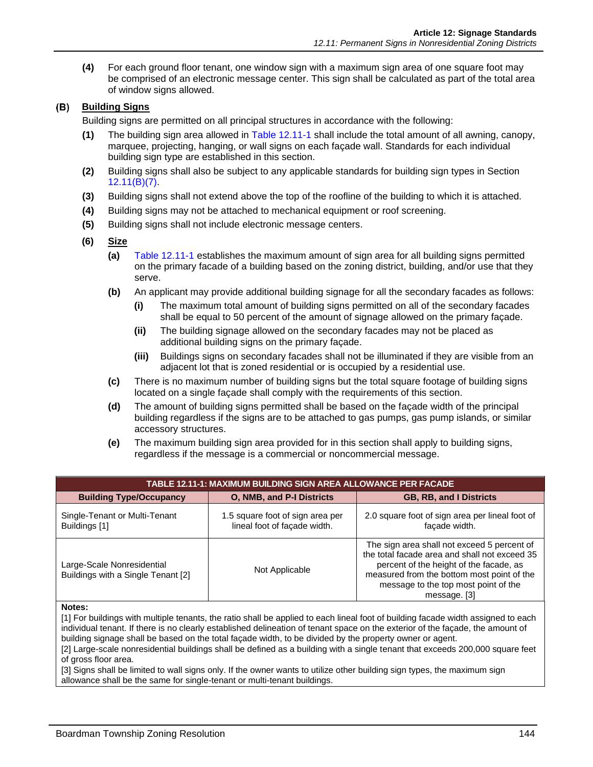**(4)** For each ground floor tenant, one window sign with a maximum sign area of one square foot may be comprised of an electronic message center. This sign shall be calculated as part of the total area of window signs allowed.

### <span id="page-11-1"></span>**Building Signs**

Building signs are permitted on all principal structures in accordance with the following:

- **(1)** The building sign area allowed in [Table 12.11-1](#page-11-0) shall include the total amount of all awning, canopy, marquee, projecting, hanging, or wall signs on each façade wall. Standards for each individual building sign type are established in this section.
- **(2)** Building signs shall also be subject to any applicable standards for building sign types in Section [12.11\(B\)\(7\).](#page-12-0)
- **(3)** Building signs shall not extend above the top of the roofline of the building to which it is attached.
- **(4)** Building signs may not be attached to mechanical equipment or roof screening.
- **(5)** Building signs shall not include electronic message centers.
- **(6) Size**
	- **(a)** [Table 12.11-1](#page-11-0) establishes the maximum amount of sign area for all building signs permitted on the primary facade of a building based on the zoning district, building, and/or use that they serve.
	- **(b)** An applicant may provide additional building signage for all the secondary facades as follows:
		- **(i)** The maximum total amount of building signs permitted on all of the secondary facades shall be equal to 50 percent of the amount of signage allowed on the primary façade.
		- **(ii)** The building signage allowed on the secondary facades may not be placed as additional building signs on the primary façade.
		- **(iii)** Buildings signs on secondary facades shall not be illuminated if they are visible from an adjacent lot that is zoned residential or is occupied by a residential use.
	- **(c)** There is no maximum number of building signs but the total square footage of building signs located on a single façade shall comply with the requirements of this section.
	- **(d)** The amount of building signs permitted shall be based on the façade width of the principal building regardless if the signs are to be attached to gas pumps, gas pump islands, or similar accessory structures.
	- **(e)** The maximum building sign area provided for in this section shall apply to building signs, regardless if the message is a commercial or noncommercial message.

<span id="page-11-0"></span>

| TABLE 12.11-1: MAXIMUM BUILDING SIGN AREA ALLOWANCE PER FACADE   |                                                                  |                                                                                                                                                                                                                                               |  |  |  |
|------------------------------------------------------------------|------------------------------------------------------------------|-----------------------------------------------------------------------------------------------------------------------------------------------------------------------------------------------------------------------------------------------|--|--|--|
| <b>Building Type/Occupancy</b>                                   | <b>O. NMB, and P-I Districts</b>                                 | <b>GB, RB, and I Districts</b>                                                                                                                                                                                                                |  |  |  |
| Single-Tenant or Multi-Tenant<br>Buildings [1]                   | 1.5 square foot of sign area per<br>lineal foot of façade width. | 2.0 square foot of sign area per lineal foot of<br>facade width.                                                                                                                                                                              |  |  |  |
| Large-Scale Nonresidential<br>Buildings with a Single Tenant [2] | Not Applicable                                                   | The sign area shall not exceed 5 percent of<br>the total facade area and shall not exceed 35<br>percent of the height of the facade, as<br>measured from the bottom most point of the<br>message to the top most point of the<br>message. [3] |  |  |  |

#### **Notes:**

[1] For buildings with multiple tenants, the ratio shall be applied to each lineal foot of building facade width assigned to each individual tenant. If there is no clearly established delineation of tenant space on the exterior of the façade, the amount of building signage shall be based on the total façade width, to be divided by the property owner or agent.

[2] Large-scale nonresidential buildings shall be defined as a building with a single tenant that exceeds 200,000 square feet of gross floor area.

[3] Signs shall be limited to wall signs only. If the owner wants to utilize other building sign types, the maximum sign allowance shall be the same for single-tenant or multi-tenant buildings.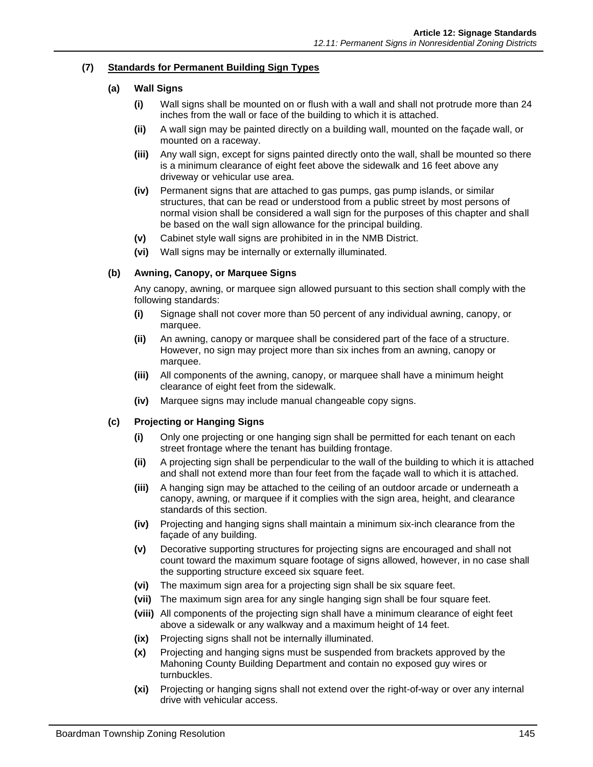### <span id="page-12-0"></span>**(7) Standards for Permanent Building Sign Types**

#### **(a) Wall Signs**

- **(i)** Wall signs shall be mounted on or flush with a wall and shall not protrude more than 24 inches from the wall or face of the building to which it is attached.
- **(ii)** A wall sign may be painted directly on a building wall, mounted on the façade wall, or mounted on a raceway.
- **(iii)** Any wall sign, except for signs painted directly onto the wall, shall be mounted so there is a minimum clearance of eight feet above the sidewalk and 16 feet above any driveway or vehicular use area.
- **(iv)** Permanent signs that are attached to gas pumps, gas pump islands, or similar structures, that can be read or understood from a public street by most persons of normal vision shall be considered a wall sign for the purposes of this chapter and shall be based on the wall sign allowance for the principal building.
- **(v)** Cabinet style wall signs are prohibited in in the NMB District.
- **(vi)** Wall signs may be internally or externally illuminated.

#### **(b) Awning, Canopy, or Marquee Signs**

Any canopy, awning, or marquee sign allowed pursuant to this section shall comply with the following standards:

- **(i)** Signage shall not cover more than 50 percent of any individual awning, canopy, or marquee.
- **(ii)** An awning, canopy or marquee shall be considered part of the face of a structure. However, no sign may project more than six inches from an awning, canopy or marquee.
- **(iii)** All components of the awning, canopy, or marquee shall have a minimum height clearance of eight feet from the sidewalk.
- **(iv)** Marquee signs may include manual changeable copy signs.

#### **(c) Projecting or Hanging Signs**

- **(i)** Only one projecting or one hanging sign shall be permitted for each tenant on each street frontage where the tenant has building frontage.
- **(ii)** A projecting sign shall be perpendicular to the wall of the building to which it is attached and shall not extend more than four feet from the façade wall to which it is attached.
- **(iii)** A hanging sign may be attached to the ceiling of an outdoor arcade or underneath a canopy, awning, or marquee if it complies with the sign area, height, and clearance standards of this section.
- **(iv)** Projecting and hanging signs shall maintain a minimum six-inch clearance from the façade of any building.
- **(v)** Decorative supporting structures for projecting signs are encouraged and shall not count toward the maximum square footage of signs allowed, however, in no case shall the supporting structure exceed six square feet.
- **(vi)** The maximum sign area for a projecting sign shall be six square feet.
- **(vii)** The maximum sign area for any single hanging sign shall be four square feet.
- **(viii)** All components of the projecting sign shall have a minimum clearance of eight feet above a sidewalk or any walkway and a maximum height of 14 feet.
- **(ix)** Projecting signs shall not be internally illuminated.
- **(x)** Projecting and hanging signs must be suspended from brackets approved by the Mahoning County Building Department and contain no exposed guy wires or turnbuckles.
- **(xi)** Projecting or hanging signs shall not extend over the right-of-way or over any internal drive with vehicular access.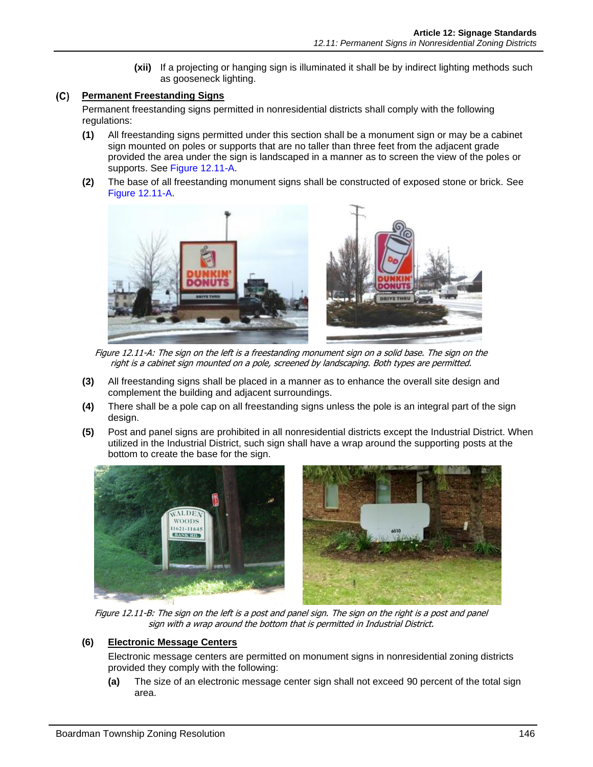**(xii)** If a projecting or hanging sign is illuminated it shall be by indirect lighting methods such as gooseneck lighting.

### <span id="page-13-0"></span>**Permanent Freestanding Signs**

Permanent freestanding signs permitted in nonresidential districts shall comply with the following regulations:

- **(1)** All freestanding signs permitted under this section shall be a monument sign or may be a cabinet sign mounted on poles or supports that are no taller than three feet from the adjacent grade provided the area under the sign is landscaped in a manner as to screen the view of the poles or supports. See [Figure 12.11-A.](#page-13-1)
- **(2)** The base of all freestanding monument signs shall be constructed of exposed stone or brick. See [Figure 12.11-A.](#page-13-1)



Figure 12.11-A: The sign on the left is a freestanding monument sign on a solid base. The sign on the right is a cabinet sign mounted on a pole, screened by landscaping. Both types are permitted.

- <span id="page-13-1"></span>**(3)** All freestanding signs shall be placed in a manner as to enhance the overall site design and complement the building and adjacent surroundings.
- **(4)** There shall be a pole cap on all freestanding signs unless the pole is an integral part of the sign design.
- **(5)** Post and panel signs are prohibited in all nonresidential districts except the Industrial District. When utilized in the Industrial District, such sign shall have a wrap around the supporting posts at the bottom to create the base for the sign.



Figure 12.11-B: The sign on the left is a post and panel sign. The sign on the right is a post and panel sign with a wrap around the bottom that is permitted in Industrial District.

### **(6) Electronic Message Centers**

Electronic message centers are permitted on monument signs in nonresidential zoning districts provided they comply with the following:

**(a)** The size of an electronic message center sign shall not exceed 90 percent of the total sign area.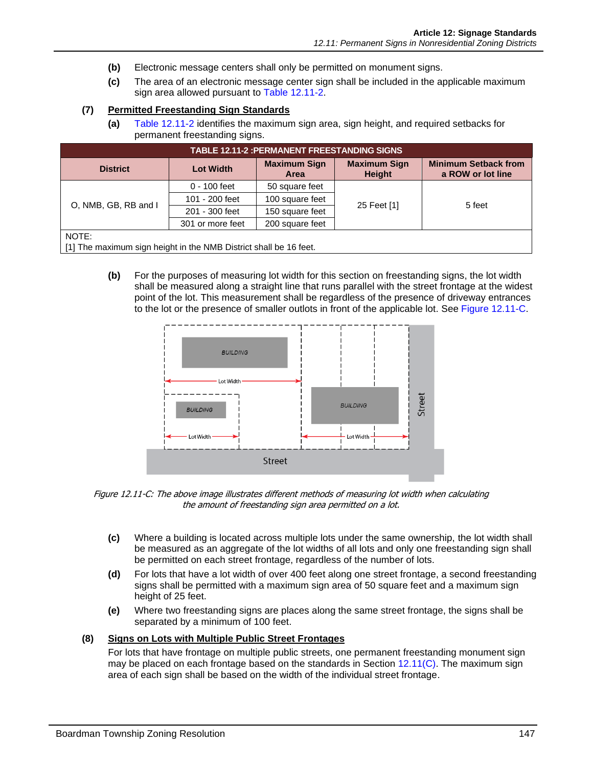- **(b)** Electronic message centers shall only be permitted on monument signs.
- **(c)** The area of an electronic message center sign shall be included in the applicable maximum sign area allowed pursuant to [Table 12.11-2.](#page-14-0)

#### **(7) Permitted Freestanding Sign Standards**

**(a)** [Table 12.11-2](#page-14-0) identifies the maximum sign area, sign height, and required setbacks for permanent freestanding signs.

<span id="page-14-0"></span>

| <b>TABLE 12.11-2 :PERMANENT FREESTANDING SIGNS</b>                |                  |                             |                               |                                                  |  |
|-------------------------------------------------------------------|------------------|-----------------------------|-------------------------------|--------------------------------------------------|--|
| <b>District</b>                                                   | <b>Lot Width</b> | <b>Maximum Sign</b><br>Area | <b>Maximum Sign</b><br>Height | <b>Minimum Setback from</b><br>a ROW or lot line |  |
| O, NMB, GB, RB and I                                              | $0 - 100$ feet   | 50 square feet              |                               | 5 feet                                           |  |
|                                                                   | 101 - 200 feet   | 100 square feet             | 25 Feet [1]                   |                                                  |  |
|                                                                   | 201 - 300 feet   | 150 square feet             |                               |                                                  |  |
|                                                                   | 301 or more feet | 200 square feet             |                               |                                                  |  |
| NOTE:                                                             |                  |                             |                               |                                                  |  |
| [1] The maximum sign height in the NMB District shall be 16 feet. |                  |                             |                               |                                                  |  |

<span id="page-14-2"></span>**(b)** For the purposes of measuring lot width for this section on freestanding signs, the lot width shall be measured along a straight line that runs parallel with the street frontage at the widest point of the lot. This measurement shall be regardless of the presence of driveway entrances to the lot or the presence of smaller outlots in front of the applicable lot. See [Figure 12.11-C.](#page-14-1)



<span id="page-14-1"></span>Figure 12.11-C: The above image illustrates different methods of measuring lot width when calculating the amount of freestanding sign area permitted on a lot.

- **(c)** Where a building is located across multiple lots under the same ownership, the lot width shall be measured as an aggregate of the lot widths of all lots and only one freestanding sign shall be permitted on each street frontage, regardless of the number of lots.
- **(d)** For lots that have a lot width of over 400 feet along one street frontage, a second freestanding signs shall be permitted with a maximum sign area of 50 square feet and a maximum sign height of 25 feet.
- **(e)** Where two freestanding signs are places along the same street frontage, the signs shall be separated by a minimum of 100 feet.

#### **(8) Signs on Lots with Multiple Public Street Frontages**

For lots that have frontage on multiple public streets, one permanent freestanding monument sign may be placed on each frontage based on the standards in Section [12.11\(C\).](#page-13-0) The maximum sign area of each sign shall be based on the width of the individual street frontage.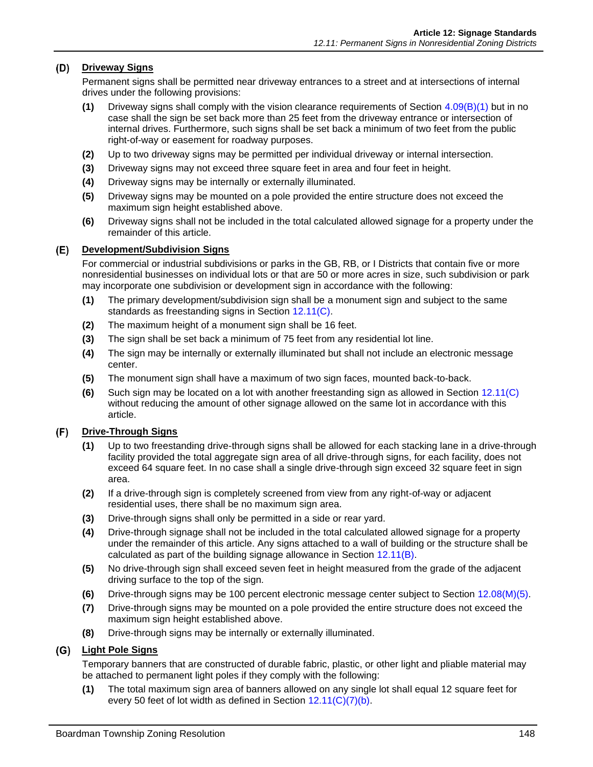#### **Driveway Signs**

Permanent signs shall be permitted near driveway entrances to a street and at intersections of internal drives under the following provisions:

- **(1)** Driveway signs shall comply with the vision clearance requirements of Section 4.09(B)(1) but in no case shall the sign be set back more than 25 feet from the driveway entrance or intersection of internal drives. Furthermore, such signs shall be set back a minimum of two feet from the public right-of-way or easement for roadway purposes.
- **(2)** Up to two driveway signs may be permitted per individual driveway or internal intersection.
- **(3)** Driveway signs may not exceed three square feet in area and four feet in height.
- **(4)** Driveway signs may be internally or externally illuminated.
- **(5)** Driveway signs may be mounted on a pole provided the entire structure does not exceed the maximum sign height established above.
- **(6)** Driveway signs shall not be included in the total calculated allowed signage for a property under the remainder of this article.

#### **Development/Subdivision Signs**

For commercial or industrial subdivisions or parks in the GB, RB, or I Districts that contain five or more nonresidential businesses on individual lots or that are 50 or more acres in size, such subdivision or park may incorporate one subdivision or development sign in accordance with the following:

- **(1)** The primary development/subdivision sign shall be a monument sign and subject to the same standards as freestanding signs in Section [12.11\(C\).](#page-13-0)
- **(2)** The maximum height of a monument sign shall be 16 feet.
- **(3)** The sign shall be set back a minimum of 75 feet from any residential lot line.
- **(4)** The sign may be internally or externally illuminated but shall not include an electronic message center.
- **(5)** The monument sign shall have a maximum of two sign faces, mounted back-to-back.
- **(6)** Such sign may be located on a lot with another freestanding sign as allowed in Section [12.11\(C\)](#page-13-0) without reducing the amount of other signage allowed on the same lot in accordance with this article.

#### <span id="page-15-1"></span> $(F)$ **Drive-Through Signs**

- **(1)** Up to two freestanding drive-through signs shall be allowed for each stacking lane in a drive-through facility provided the total aggregate sign area of all drive-through signs, for each facility, does not exceed 64 square feet. In no case shall a single drive-through sign exceed 32 square feet in sign area.
- **(2)** If a drive-through sign is completely screened from view from any right-of-way or adjacent residential uses, there shall be no maximum sign area.
- **(3)** Drive-through signs shall only be permitted in a side or rear yard.
- **(4)** Drive-through signage shall not be included in the total calculated allowed signage for a property under the remainder of this article. Any signs attached to a wall of building or the structure shall be calculated as part of the building signage allowance in Section [12.11\(B\).](#page-11-1)
- **(5)** No drive-through sign shall exceed seven feet in height measured from the grade of the adjacent driving surface to the top of the sign.
- **(6)** Drive-through signs may be 100 percent electronic message center subject to Section [12.08\(M\)\(5\).](#page-8-1)
- **(7)** Drive-through signs may be mounted on a pole provided the entire structure does not exceed the maximum sign height established above.
- **(8)** Drive-through signs may be internally or externally illuminated.

#### <span id="page-15-0"></span>**Light Pole Signs**

Temporary banners that are constructed of durable fabric, plastic, or other light and pliable material may be attached to permanent light poles if they comply with the following:

**(1)** The total maximum sign area of banners allowed on any single lot shall equal 12 square feet for every 50 feet of lot width as defined in Section [12.11\(C\)\(7\)\(b\).](#page-14-2)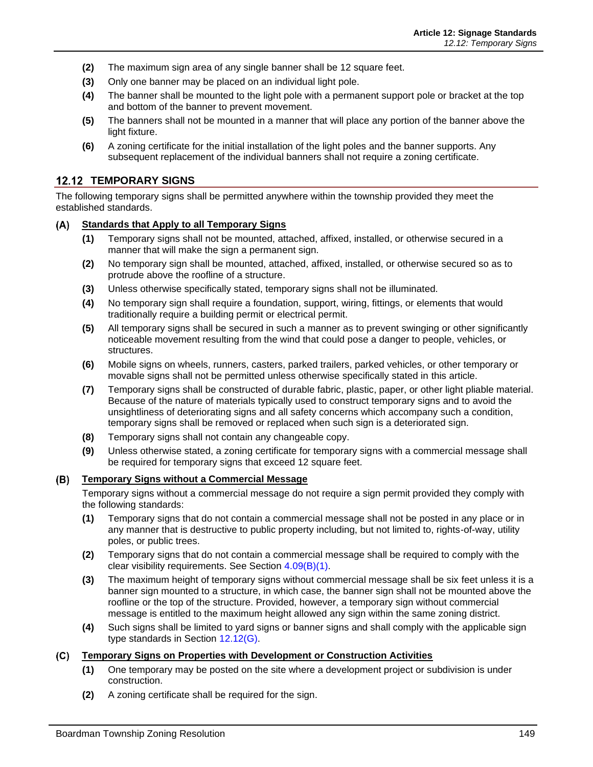- **(2)** The maximum sign area of any single banner shall be 12 square feet.
- **(3)** Only one banner may be placed on an individual light pole.
- **(4)** The banner shall be mounted to the light pole with a permanent support pole or bracket at the top and bottom of the banner to prevent movement.
- **(5)** The banners shall not be mounted in a manner that will place any portion of the banner above the light fixture.
- **(6)** A zoning certificate for the initial installation of the light poles and the banner supports. Any subsequent replacement of the individual banners shall not require a zoning certificate.

### **12.12 TEMPORARY SIGNS**

The following temporary signs shall be permitted anywhere within the township provided they meet the established standards.

#### $(A)$ **Standards that Apply to all Temporary Signs**

- **(1)** Temporary signs shall not be mounted, attached, affixed, installed, or otherwise secured in a manner that will make the sign a permanent sign.
- **(2)** No temporary sign shall be mounted, attached, affixed, installed, or otherwise secured so as to protrude above the roofline of a structure.
- **(3)** Unless otherwise specifically stated, temporary signs shall not be illuminated.
- **(4)** No temporary sign shall require a foundation, support, wiring, fittings, or elements that would traditionally require a building permit or electrical permit.
- **(5)** All temporary signs shall be secured in such a manner as to prevent swinging or other significantly noticeable movement resulting from the wind that could pose a danger to people, vehicles, or structures.
- **(6)** Mobile signs on wheels, runners, casters, parked trailers, parked vehicles, or other temporary or movable signs shall not be permitted unless otherwise specifically stated in this article.
- **(7)** Temporary signs shall be constructed of durable fabric, plastic, paper, or other light pliable material. Because of the nature of materials typically used to construct temporary signs and to avoid the unsightliness of deteriorating signs and all safety concerns which accompany such a condition, temporary signs shall be removed or replaced when such sign is a deteriorated sign.
- **(8)** Temporary signs shall not contain any changeable copy.
- **(9)** Unless otherwise stated, a zoning certificate for temporary signs with a commercial message shall be required for temporary signs that exceed 12 square feet.

#### <span id="page-16-0"></span> $(B)$ **Temporary Signs without a Commercial Message**

Temporary signs without a commercial message do not require a sign permit provided they comply with the following standards:

- **(1)** Temporary signs that do not contain a commercial message shall not be posted in any place or in any manner that is destructive to public property including, but not limited to, rights-of-way, utility poles, or public trees.
- **(2)** Temporary signs that do not contain a commercial message shall be required to comply with the clear visibility requirements. See Section 4.09(B)(1).
- **(3)** The maximum height of temporary signs without commercial message shall be six feet unless it is a banner sign mounted to a structure, in which case, the banner sign shall not be mounted above the roofline or the top of the structure. Provided, however, a temporary sign without commercial message is entitled to the maximum height allowed any sign within the same zoning district.
- **(4)** Such signs shall be limited to yard signs or banner signs and shall comply with the applicable sign type standards in Section [12.12\(G\).](#page-18-1)

#### **Temporary Signs on Properties with Development or Construction Activities**  $(C)$

- **(1)** One temporary may be posted on the site where a development project or subdivision is under construction.
- **(2)** A zoning certificate shall be required for the sign.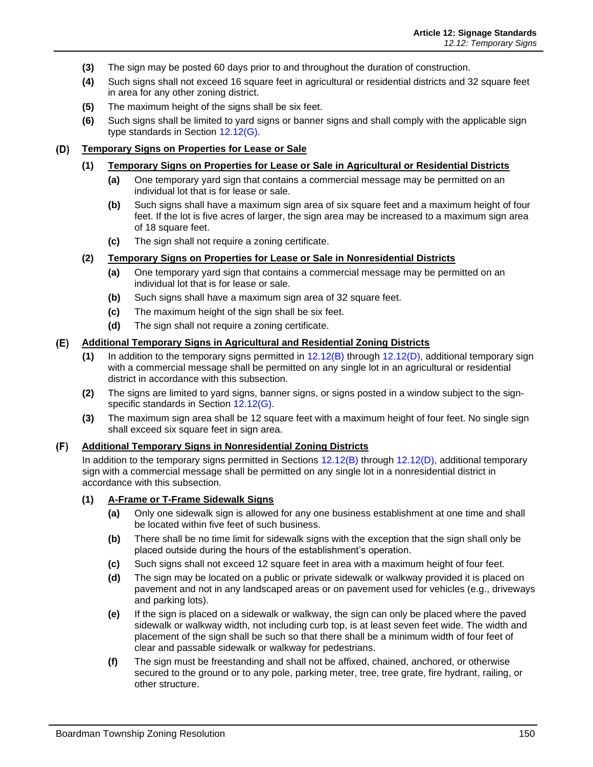- **(3)** The sign may be posted 60 days prior to and throughout the duration of construction.
- **(4)** Such signs shall not exceed 16 square feet in agricultural or residential districts and 32 square feet in area for any other zoning district.
- **(5)** The maximum height of the signs shall be six feet.
- **(6)** Such signs shall be limited to yard signs or banner signs and shall comply with the applicable sign type standards in Section [12.12\(G\).](#page-18-1)

#### <span id="page-17-1"></span> $(D)$ **Temporary Signs on Properties for Lease or Sale**

#### **(1) Temporary Signs on Properties for Lease or Sale in Agricultural or Residential Districts**

- **(a)** One temporary yard sign that contains a commercial message may be permitted on an individual lot that is for lease or sale.
- **(b)** Such signs shall have a maximum sign area of six square feet and a maximum height of four feet. If the lot is five acres of larger, the sign area may be increased to a maximum sign area of 18 square feet.
- **(c)** The sign shall not require a zoning certificate.

#### **(2) Temporary Signs on Properties for Lease or Sale in Nonresidential Districts**

- **(a)** One temporary yard sign that contains a commercial message may be permitted on an individual lot that is for lease or sale.
- **(b)** Such signs shall have a maximum sign area of 32 square feet.
- **(c)** The maximum height of the sign shall be six feet.
- **(d)** The sign shall not require a zoning certificate.

#### **Additional Temporary Signs in Agricultural and Residential Zoning Districts**

- **(1)** In addition to the temporary signs permitted in [12.12\(B\)](#page-16-0) through [12.12\(D\),](#page-17-1) additional temporary sign with a commercial message shall be permitted on any single lot in an agricultural or residential district in accordance with this subsection.
- **(2)** The signs are limited to yard signs, banner signs, or signs posted in a window subject to the signspecific standards in Section [12.12\(G\).](#page-18-1)
- **(3)** The maximum sign area shall be 12 square feet with a maximum height of four feet. No single sign shall exceed six square feet in sign area.

#### <span id="page-17-0"></span>**Additional Temporary Signs in Nonresidential Zoning Districts**

In addition to the temporary signs permitted in Sections [12.12\(B\)](#page-16-0) through [12.12\(D\),](#page-17-1) additional temporary sign with a commercial message shall be permitted on any single lot in a nonresidential district in accordance with this subsection.

#### **(1) A-Frame or T-Frame Sidewalk Signs**

- **(a)** Only one sidewalk sign is allowed for any one business establishment at one time and shall be located within five feet of such business.
- **(b)** There shall be no time limit for sidewalk signs with the exception that the sign shall only be placed outside during the hours of the establishment's operation.
- **(c)** Such signs shall not exceed 12 square feet in area with a maximum height of four feet.
- **(d)** The sign may be located on a public or private sidewalk or walkway provided it is placed on pavement and not in any landscaped areas or on pavement used for vehicles (e.g., driveways and parking lots).
- **(e)** If the sign is placed on a sidewalk or walkway, the sign can only be placed where the paved sidewalk or walkway width, not including curb top, is at least seven feet wide. The width and placement of the sign shall be such so that there shall be a minimum width of four feet of clear and passable sidewalk or walkway for pedestrians.
- **(f)** The sign must be freestanding and shall not be affixed, chained, anchored, or otherwise secured to the ground or to any pole, parking meter, tree, tree grate, fire hydrant, railing, or other structure.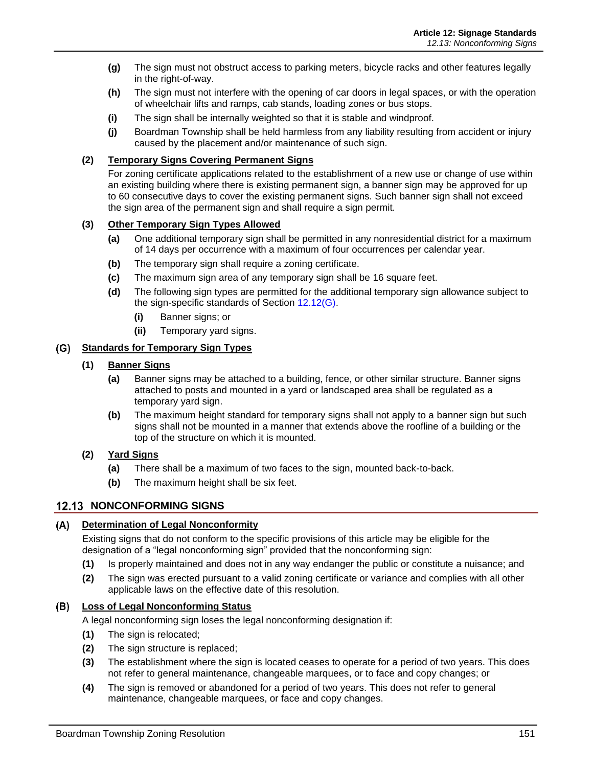- **(g)** The sign must not obstruct access to parking meters, bicycle racks and other features legally in the right-of-way.
- **(h)** The sign must not interfere with the opening of car doors in legal spaces, or with the operation of wheelchair lifts and ramps, cab stands, loading zones or bus stops.
- **(i)** The sign shall be internally weighted so that it is stable and windproof.
- **(j)** Boardman Township shall be held harmless from any liability resulting from accident or injury caused by the placement and/or maintenance of such sign.

#### **(2) Temporary Signs Covering Permanent Signs**

For zoning certificate applications related to the establishment of a new use or change of use within an existing building where there is existing permanent sign, a banner sign may be approved for up to 60 consecutive days to cover the existing permanent signs. Such banner sign shall not exceed the sign area of the permanent sign and shall require a sign permit.

### **(3) Other Temporary Sign Types Allowed**

- **(a)** One additional temporary sign shall be permitted in any nonresidential district for a maximum of 14 days per occurrence with a maximum of four occurrences per calendar year.
- **(b)** The temporary sign shall require a zoning certificate.
- **(c)** The maximum sign area of any temporary sign shall be 16 square feet.
- **(d)** The following sign types are permitted for the additional temporary sign allowance subject to the sign-specific standards of Section [12.12\(G\).](#page-18-1)
	- **(i)** Banner signs; or
	- **(ii)** Temporary yard signs.

### <span id="page-18-1"></span>**Standards for Temporary Sign Types**

#### **(1) Banner Signs**

- **(a)** Banner signs may be attached to a building, fence, or other similar structure. Banner signs attached to posts and mounted in a yard or landscaped area shall be regulated as a temporary yard sign.
- **(b)** The maximum height standard for temporary signs shall not apply to a banner sign but such signs shall not be mounted in a manner that extends above the roofline of a building or the top of the structure on which it is mounted.
- **(2) Yard Signs**
	- **(a)** There shall be a maximum of two faces to the sign, mounted back-to-back.
	- **(b)** The maximum height shall be six feet.

### <span id="page-18-0"></span>**12.13 NONCONFORMING SIGNS**

#### **Determination of Legal Nonconformity**

Existing signs that do not conform to the specific provisions of this article may be eligible for the designation of a "legal nonconforming sign" provided that the nonconforming sign:

- **(1)** Is properly maintained and does not in any way endanger the public or constitute a nuisance; and
- **(2)** The sign was erected pursuant to a valid zoning certificate or variance and complies with all other applicable laws on the effective date of this resolution.

#### **Loss of Legal Nonconforming Status**

A legal nonconforming sign loses the legal nonconforming designation if:

- **(1)** The sign is relocated;
- **(2)** The sign structure is replaced;
- **(3)** The establishment where the sign is located ceases to operate for a period of two years. This does not refer to general maintenance, changeable marquees, or to face and copy changes; or
- **(4)** The sign is removed or abandoned for a period of two years. This does not refer to general maintenance, changeable marquees, or face and copy changes.